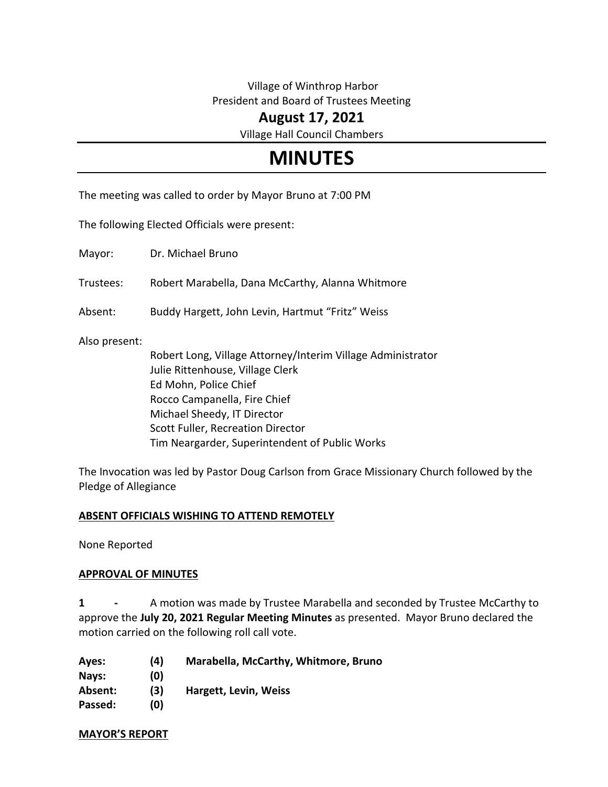## Village of Winthrop Harbor President and Board of Trustees Meeting

## **August 17, 2021**

Village Hall Council Chambers

# **MINUTES**

The meeting was called to order by Mayor Bruno at 7:00 PM

The following Elected Officials were present:

Mayor: Dr. Michael Bruno

Trustees: Robert Marabella, Dana McCarthy, Alanna Whitmore

Absent: Buddy Hargett, John Levin, Hartmut "Fritz" Weiss

Also present:

Robert Long, Village Attorney/Interim Village Administrator Julie Rittenhouse, Village Clerk Ed Mohn, Police Chief Rocco Campanella, Fire Chief Michael Sheedy, IT Director Scott Fuller, Recreation Director Tim Neargarder, Superintendent of Public Works

The Invocation was led by Pastor Doug Carlson from Grace Missionary Church followed by the Pledge of Allegiance

#### **ABSENT OFFICIALS WISHING TO ATTEND REMOTELY**

None Reported

#### **APPROVAL OF MINUTES**

**1 -** A motion was made by Trustee Marabella and seconded by Trustee McCarthy to approve the **July 20, 2021 Regular Meeting Minutes** as presented. Mayor Bruno declared the motion carried on the following roll call vote.

| Ayes:   | (4) | Marabella, McCarthy, Whitmore, Bruno |
|---------|-----|--------------------------------------|
| Nays:   | (0) |                                      |
| Absent: | (3) | Hargett, Levin, Weiss                |
| Passed: | (0) |                                      |

**MAYOR'S REPORT**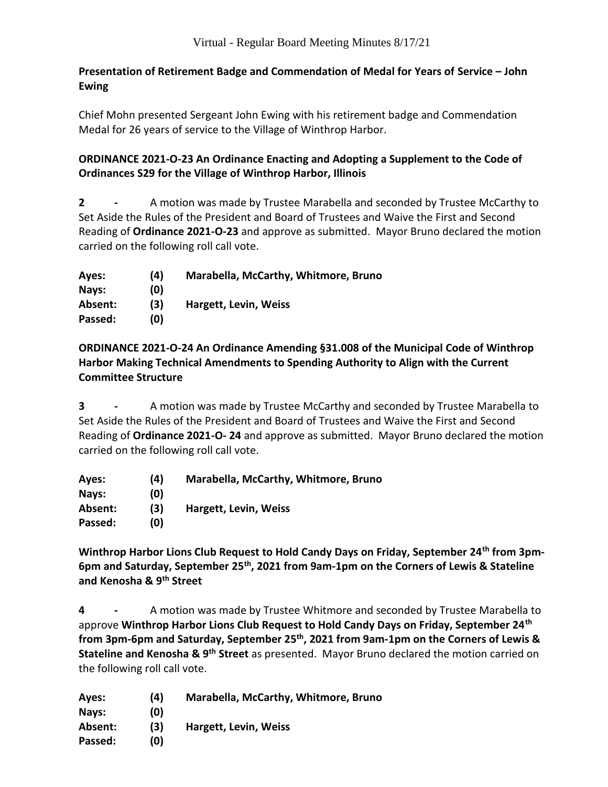## **Presentation of Retirement Badge and Commendation of Medal for Years of Service – John Ewing**

Chief Mohn presented Sergeant John Ewing with his retirement badge and Commendation Medal for 26 years of service to the Village of Winthrop Harbor.

## **ORDINANCE 2021-O-23 An Ordinance Enacting and Adopting a Supplement to the Code of Ordinances S29 for the Village of Winthrop Harbor, Illinois**

**2 -** A motion was made by Trustee Marabella and seconded by Trustee McCarthy to Set Aside the Rules of the President and Board of Trustees and Waive the First and Second Reading of **Ordinance 2021-O-23** and approve as submitted. Mayor Bruno declared the motion carried on the following roll call vote.

| Ayes:   | (4) | Marabella, McCarthy, Whitmore, Bruno |
|---------|-----|--------------------------------------|
| Nays:   | (O) |                                      |
| Absent: | (3) | Hargett, Levin, Weiss                |
| Passed: | (O) |                                      |

**ORDINANCE 2021-O-24 An Ordinance Amending §31.008 of the Municipal Code of Winthrop Harbor Making Technical Amendments to Spending Authority to Align with the Current Committee Structure**

**3 -** A motion was made by Trustee McCarthy and seconded by Trustee Marabella to Set Aside the Rules of the President and Board of Trustees and Waive the First and Second Reading of **Ordinance 2021-O- 24** and approve as submitted. Mayor Bruno declared the motion carried on the following roll call vote.

| Ayes:   | (4) | Marabella, McCarthy, Whitmore, Bruno |
|---------|-----|--------------------------------------|
| Nays:   | (O) |                                      |
| Absent: | (3) | <b>Hargett, Levin, Weiss</b>         |
| Passed: | (0) |                                      |

**Winthrop Harbor Lions Club Request to Hold Candy Days on Friday, September 24th from 3pm-6pm and Saturday, September 25th, 2021 from 9am-1pm on the Corners of Lewis & Stateline and Kenosha & 9th Street**

**4 -** A motion was made by Trustee Whitmore and seconded by Trustee Marabella to approve **Winthrop Harbor Lions Club Request to Hold Candy Days on Friday, September 24th from 3pm-6pm and Saturday, September 25th, 2021 from 9am-1pm on the Corners of Lewis & Stateline and Kenosha & 9th Street** as presented. Mayor Bruno declared the motion carried on the following roll call vote.

| Ayes:   | (4) | Marabella, McCarthy, Whitmore, Bruno |
|---------|-----|--------------------------------------|
| Nays:   | (0) |                                      |
| Absent: | (3) | Hargett, Levin, Weiss                |
| Passed: | (0) |                                      |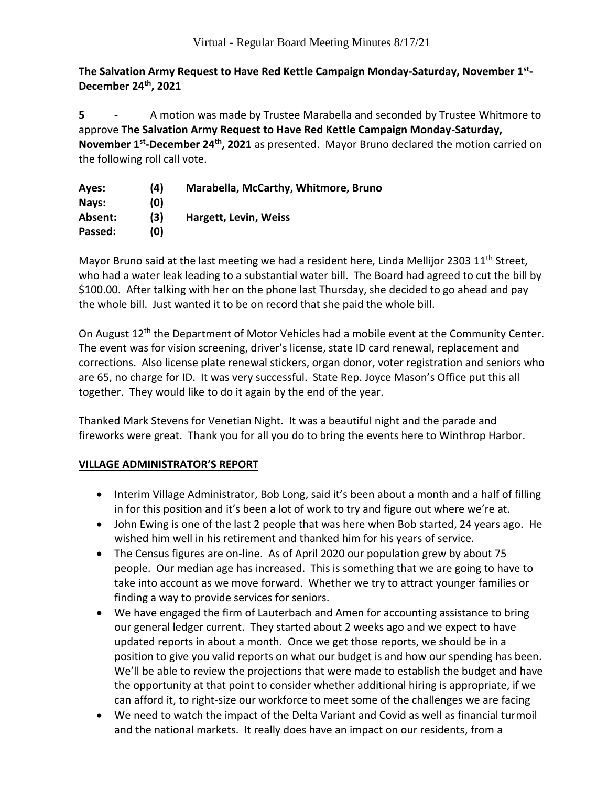**The Salvation Army Request to Have Red Kettle Campaign Monday-Saturday, November 1st - December 24th, 2021**

**5 -** A motion was made by Trustee Marabella and seconded by Trustee Whitmore to approve **The Salvation Army Request to Have Red Kettle Campaign Monday-Saturday, November 1st -December 24th , 2021** as presented. Mayor Bruno declared the motion carried on the following roll call vote.

| Ayes:   | (4) | Marabella, McCarthy, Whitmore, Bruno |
|---------|-----|--------------------------------------|
| Nays:   | (0) |                                      |
| Absent: | (3) | Hargett, Levin, Weiss                |
| Passed: | (O) |                                      |

Mayor Bruno said at the last meeting we had a resident here, Linda Mellijor 2303  $11<sup>th</sup>$  Street, who had a water leak leading to a substantial water bill. The Board had agreed to cut the bill by \$100.00. After talking with her on the phone last Thursday, she decided to go ahead and pay the whole bill. Just wanted it to be on record that she paid the whole bill.

On August 12<sup>th</sup> the Department of Motor Vehicles had a mobile event at the Community Center. The event was for vision screening, driver's license, state ID card renewal, replacement and corrections. Also license plate renewal stickers, organ donor, voter registration and seniors who are 65, no charge for ID. It was very successful. State Rep. Joyce Mason's Office put this all together. They would like to do it again by the end of the year.

Thanked Mark Stevens for Venetian Night. It was a beautiful night and the parade and fireworks were great. Thank you for all you do to bring the events here to Winthrop Harbor.

## **VILLAGE ADMINISTRATOR'S REPORT**

- Interim Village Administrator, Bob Long, said it's been about a month and a half of filling in for this position and it's been a lot of work to try and figure out where we're at.
- John Ewing is one of the last 2 people that was here when Bob started, 24 years ago. He wished him well in his retirement and thanked him for his years of service.
- The Census figures are on-line. As of April 2020 our population grew by about 75 people. Our median age has increased. This is something that we are going to have to take into account as we move forward. Whether we try to attract younger families or finding a way to provide services for seniors.
- We have engaged the firm of Lauterbach and Amen for accounting assistance to bring our general ledger current. They started about 2 weeks ago and we expect to have updated reports in about a month. Once we get those reports, we should be in a position to give you valid reports on what our budget is and how our spending has been. We'll be able to review the projections that were made to establish the budget and have the opportunity at that point to consider whether additional hiring is appropriate, if we can afford it, to right-size our workforce to meet some of the challenges we are facing
- We need to watch the impact of the Delta Variant and Covid as well as financial turmoil and the national markets. It really does have an impact on our residents, from a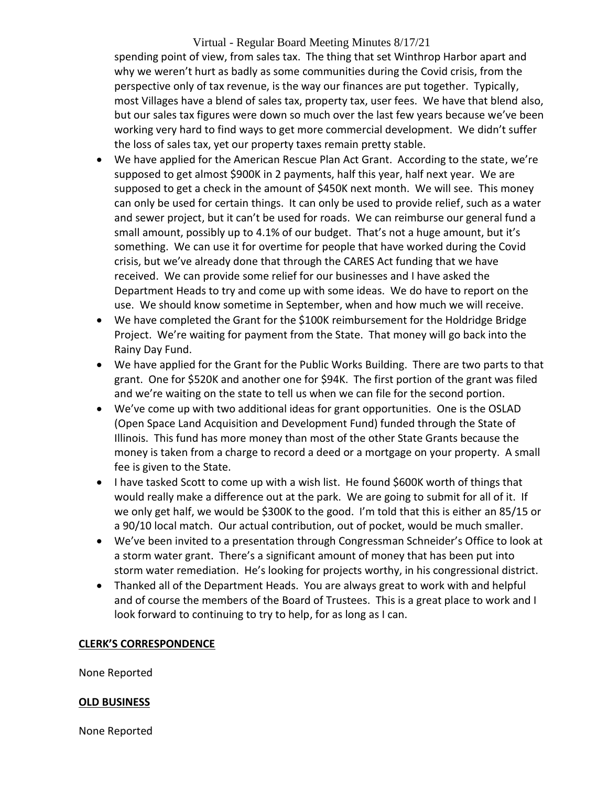## Virtual - Regular Board Meeting Minutes 8/17/21 spending point of view, from sales tax. The thing that set Winthrop Harbor apart and why we weren't hurt as badly as some communities during the Covid crisis, from the perspective only of tax revenue, is the way our finances are put together. Typically, most Villages have a blend of sales tax, property tax, user fees. We have that blend also, but our sales tax figures were down so much over the last few years because we've been working very hard to find ways to get more commercial development. We didn't suffer the loss of sales tax, yet our property taxes remain pretty stable.

- We have applied for the American Rescue Plan Act Grant. According to the state, we're supposed to get almost \$900K in 2 payments, half this year, half next year. We are supposed to get a check in the amount of \$450K next month. We will see. This money can only be used for certain things. It can only be used to provide relief, such as a water and sewer project, but it can't be used for roads. We can reimburse our general fund a small amount, possibly up to 4.1% of our budget. That's not a huge amount, but it's something. We can use it for overtime for people that have worked during the Covid crisis, but we've already done that through the CARES Act funding that we have received. We can provide some relief for our businesses and I have asked the Department Heads to try and come up with some ideas. We do have to report on the use. We should know sometime in September, when and how much we will receive.
- We have completed the Grant for the \$100K reimbursement for the Holdridge Bridge Project. We're waiting for payment from the State. That money will go back into the Rainy Day Fund.
- We have applied for the Grant for the Public Works Building. There are two parts to that grant. One for \$520K and another one for \$94K. The first portion of the grant was filed and we're waiting on the state to tell us when we can file for the second portion.
- We've come up with two additional ideas for grant opportunities. One is the OSLAD (Open Space Land Acquisition and Development Fund) funded through the State of Illinois. This fund has more money than most of the other State Grants because the money is taken from a charge to record a deed or a mortgage on your property. A small fee is given to the State.
- I have tasked Scott to come up with a wish list. He found \$600K worth of things that would really make a difference out at the park. We are going to submit for all of it. If we only get half, we would be \$300K to the good. I'm told that this is either an 85/15 or a 90/10 local match. Our actual contribution, out of pocket, would be much smaller.
- We've been invited to a presentation through Congressman Schneider's Office to look at a storm water grant. There's a significant amount of money that has been put into storm water remediation. He's looking for projects worthy, in his congressional district.
- Thanked all of the Department Heads. You are always great to work with and helpful and of course the members of the Board of Trustees. This is a great place to work and I look forward to continuing to try to help, for as long as I can.

#### **CLERK'S CORRESPONDENCE**

None Reported

#### **OLD BUSINESS**

None Reported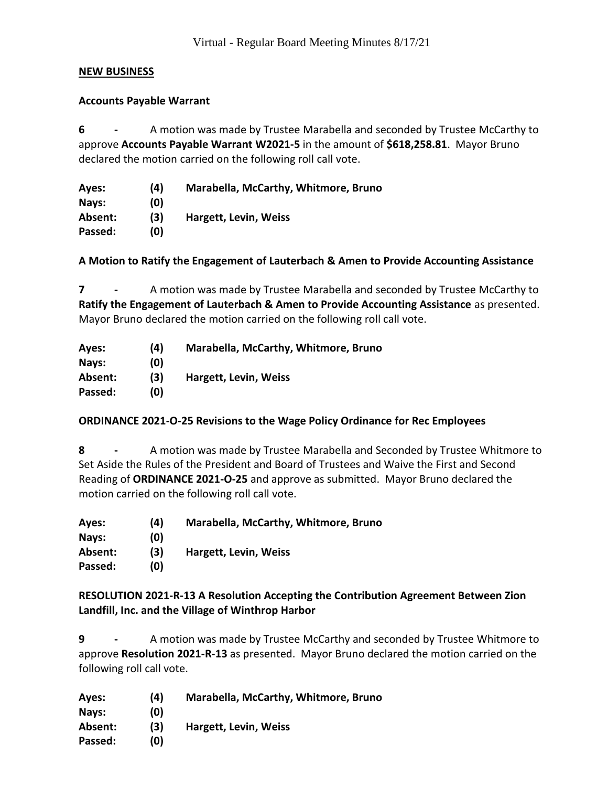#### **NEW BUSINESS**

#### **Accounts Payable Warrant**

**6 -** A motion was made by Trustee Marabella and seconded by Trustee McCarthy to approve **Accounts Payable Warrant W2021-5** in the amount of **\$618,258.81**. Mayor Bruno declared the motion carried on the following roll call vote.

| Ayes:   | (4) | Marabella, McCarthy, Whitmore, Bruno |
|---------|-----|--------------------------------------|
| Nays:   | (0) |                                      |
| Absent: | (3) | <b>Hargett, Levin, Weiss</b>         |
| Passed: | (0) |                                      |

**A Motion to Ratify the Engagement of Lauterbach & Amen to Provide Accounting Assistance**

**7 -** A motion was made by Trustee Marabella and seconded by Trustee McCarthy to **Ratify the Engagement of Lauterbach & Amen to Provide Accounting Assistance** as presented. Mayor Bruno declared the motion carried on the following roll call vote.

| Ayes:   | (4) | Marabella, McCarthy, Whitmore, Bruno |
|---------|-----|--------------------------------------|
| Nays:   | (O) |                                      |
| Absent: | (3) | Hargett, Levin, Weiss                |
| Passed: | (0) |                                      |

## **ORDINANCE 2021-O-25 Revisions to the Wage Policy Ordinance for Rec Employees**

**8 -** A motion was made by Trustee Marabella and Seconded by Trustee Whitmore to Set Aside the Rules of the President and Board of Trustees and Waive the First and Second Reading of **ORDINANCE 2021-O-25** and approve as submitted. Mayor Bruno declared the motion carried on the following roll call vote.

**Ayes: (4) Marabella, McCarthy, Whitmore, Bruno Nays: (0) Absent: (3) Hargett, Levin, Weiss Passed: (0)**

**RESOLUTION 2021-R-13 A Resolution Accepting the Contribution Agreement Between Zion Landfill, Inc. and the Village of Winthrop Harbor**

**9 -** A motion was made by Trustee McCarthy and seconded by Trustee Whitmore to approve **Resolution 2021-R-13** as presented. Mayor Bruno declared the motion carried on the following roll call vote.

| Ayes:   | (4) | Marabella, McCarthy, Whitmore, Bruno |
|---------|-----|--------------------------------------|
| Nays:   | (0) |                                      |
| Absent: | (3) | Hargett, Levin, Weiss                |
| Passed: | (0) |                                      |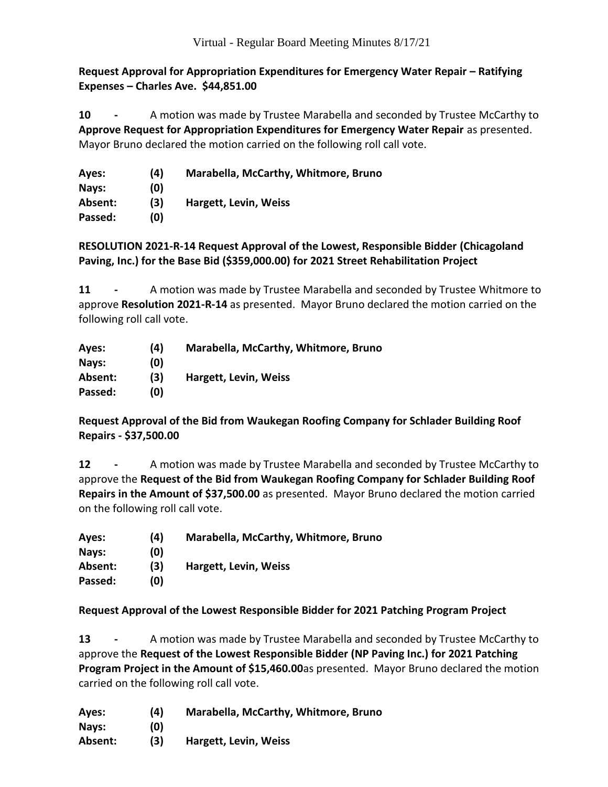**Request Approval for Appropriation Expenditures for Emergency Water Repair – Ratifying Expenses – Charles Ave. \$44,851.00**

**10 -** A motion was made by Trustee Marabella and seconded by Trustee McCarthy to **Approve Request for Appropriation Expenditures for Emergency Water Repair** as presented. Mayor Bruno declared the motion carried on the following roll call vote.

| Ayes:   | (4) | Marabella, McCarthy, Whitmore, Bruno |
|---------|-----|--------------------------------------|
| Nays:   | (0) |                                      |
| Absent: | (3) | Hargett, Levin, Weiss                |
| Passed: | (0) |                                      |

## **RESOLUTION 2021-R-14 Request Approval of the Lowest, Responsible Bidder (Chicagoland Paving, Inc.) for the Base Bid (\$359,000.00) for 2021 Street Rehabilitation Project**

**11 -** A motion was made by Trustee Marabella and seconded by Trustee Whitmore to approve **Resolution 2021-R-14** as presented. Mayor Bruno declared the motion carried on the following roll call vote.

| Ayes:   | (4) | Marabella, McCarthy, Whitmore, Bruno |
|---------|-----|--------------------------------------|
| Nays:   | (O) |                                      |
| Absent: | (3) | Hargett, Levin, Weiss                |
| Passed: | (0) |                                      |

## **Request Approval of the Bid from Waukegan Roofing Company for Schlader Building Roof Repairs - \$37,500.00**

**12 -** A motion was made by Trustee Marabella and seconded by Trustee McCarthy to approve the **Request of the Bid from Waukegan Roofing Company for Schlader Building Roof Repairs in the Amount of \$37,500.00** as presented. Mayor Bruno declared the motion carried on the following roll call vote.

| Ayes:   | (4) | Marabella, McCarthy, Whitmore, Bruno |
|---------|-----|--------------------------------------|
| Nays:   | (0) |                                      |
| Absent: | (3) | Hargett, Levin, Weiss                |
| Passed: | (0) |                                      |

**Request Approval of the Lowest Responsible Bidder for 2021 Patching Program Project**

**13 -** A motion was made by Trustee Marabella and seconded by Trustee McCarthy to approve the **Request of the Lowest Responsible Bidder (NP Paving Inc.) for 2021 Patching Program Project in the Amount of \$15,460.00**as presented. Mayor Bruno declared the motion carried on the following roll call vote.

**Ayes: (4) Marabella, McCarthy, Whitmore, Bruno Nays: (0)**

**Absent: (3) Hargett, Levin, Weiss**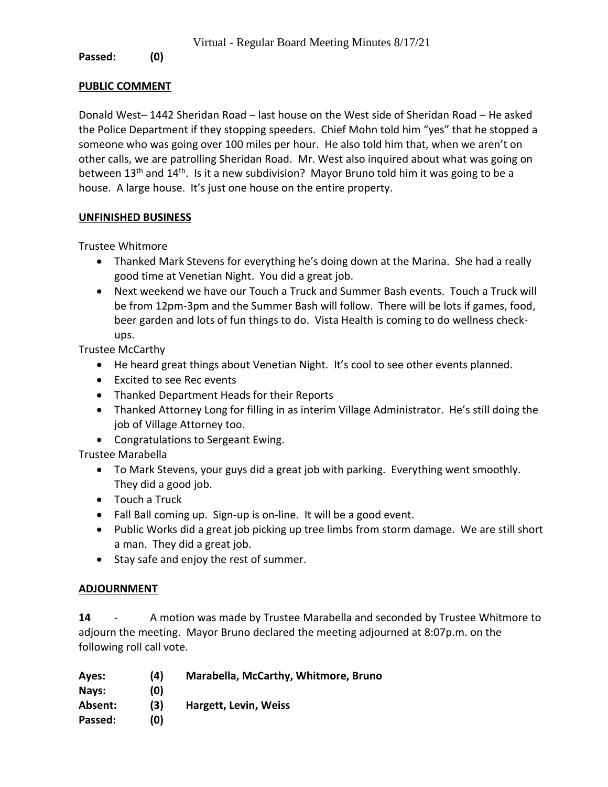#### **Passed: (0)**

#### **PUBLIC COMMENT**

Donald West– 1442 Sheridan Road – last house on the West side of Sheridan Road – He asked the Police Department if they stopping speeders. Chief Mohn told him "yes" that he stopped a someone who was going over 100 miles per hour. He also told him that, when we aren't on other calls, we are patrolling Sheridan Road. Mr. West also inquired about what was going on between  $13<sup>th</sup>$  and  $14<sup>th</sup>$ . Is it a new subdivision? Mayor Bruno told him it was going to be a house. A large house. It's just one house on the entire property.

#### **UNFINISHED BUSINESS**

Trustee Whitmore

- Thanked Mark Stevens for everything he's doing down at the Marina. She had a really good time at Venetian Night. You did a great job.
- Next weekend we have our Touch a Truck and Summer Bash events. Touch a Truck will be from 12pm-3pm and the Summer Bash will follow. There will be lots if games, food, beer garden and lots of fun things to do. Vista Health is coming to do wellness checkups.

Trustee McCarthy

- He heard great things about Venetian Night. It's cool to see other events planned.
- Excited to see Rec events
- Thanked Department Heads for their Reports
- Thanked Attorney Long for filling in as interim Village Administrator. He's still doing the job of Village Attorney too.
- Congratulations to Sergeant Ewing.

Trustee Marabella

- To Mark Stevens, your guys did a great job with parking. Everything went smoothly. They did a good job.
- Touch a Truck
- Fall Ball coming up. Sign-up is on-line. It will be a good event.
- Public Works did a great job picking up tree limbs from storm damage. We are still short a man. They did a great job.
- Stay safe and enjoy the rest of summer.

## **ADJOURNMENT**

**14** - A motion was made by Trustee Marabella and seconded by Trustee Whitmore to adjourn the meeting. Mayor Bruno declared the meeting adjourned at 8:07p.m. on the following roll call vote.

| Ayes:   | (4) | Marabella, McCarthy, Whitmore, Bruno |
|---------|-----|--------------------------------------|
| Nays:   | (O) |                                      |
| Absent: | (3) | <b>Hargett, Levin, Weiss</b>         |
| Passed: | (0) |                                      |